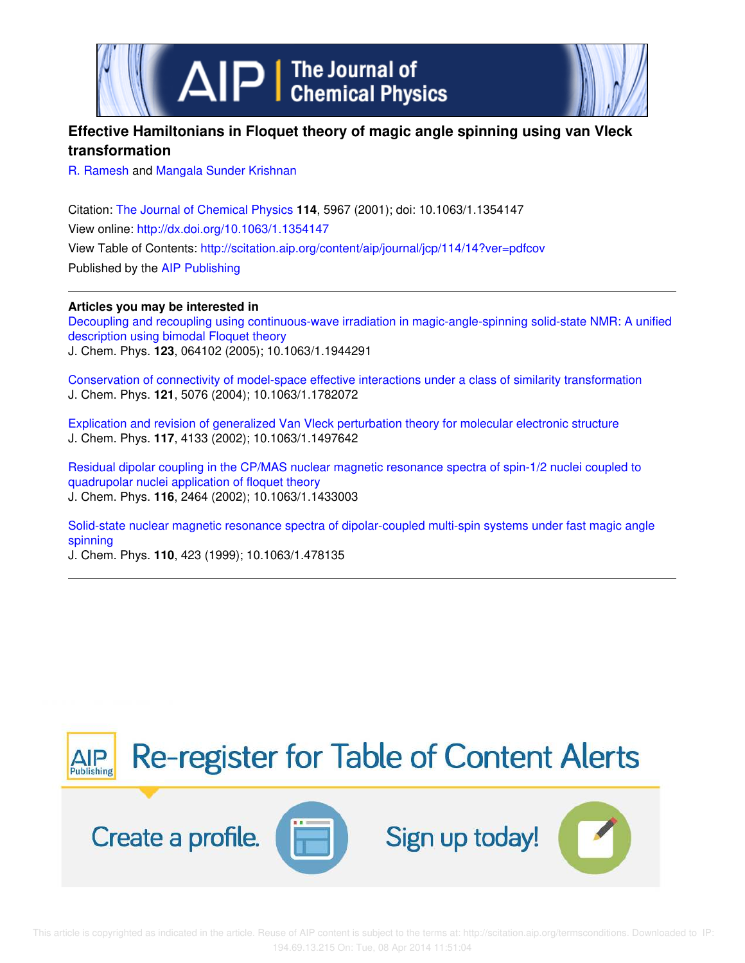

# **Effective Hamiltonians in Floquet theory of magic angle spinning using van Vleck transformation**

R. Ramesh and Mangala Sunder Krishnan

Citation: The Journal of Chemical Physics **114**, 5967 (2001); doi: 10.1063/1.1354147 View online: http://dx.doi.org/10.1063/1.1354147 View Table of Contents: http://scitation.aip.org/content/aip/journal/jcp/114/14?ver=pdfcov Published by the AIP Publishing

**Articles you may be interested in**

Decoupling and recoupling using continuous-wave irradiation in magic-angle-spinning solid-state NMR: A unified description using bimodal Floquet theory J. Chem. Phys. **123**, 064102 (2005); 10.1063/1.1944291

Conservation of connectivity of model-space effective interactions under a class of similarity transformation J. Chem. Phys. **121**, 5076 (2004); 10.1063/1.1782072

Explication and revision of generalized Van Vleck perturbation theory for molecular electronic structure J. Chem. Phys. **117**, 4133 (2002); 10.1063/1.1497642

Residual dipolar coupling in the CP/MAS nuclear magnetic resonance spectra of spin-1/2 nuclei coupled to quadrupolar nuclei application of floquet theory J. Chem. Phys. **116**, 2464 (2002); 10.1063/1.1433003

Solid-state nuclear magnetic resonance spectra of dipolar-coupled multi-spin systems under fast magic angle spinning

J. Chem. Phys. **110**, 423 (1999); 10.1063/1.478135

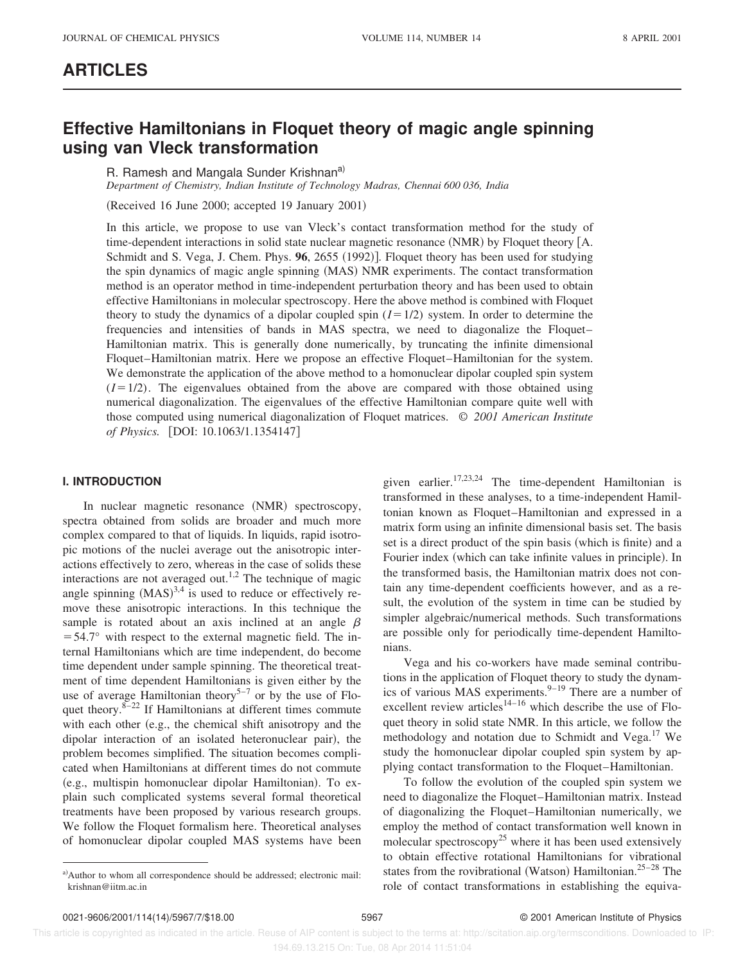## **ARTICLES**

# **Effective Hamiltonians in Floquet theory of magic angle spinning using van Vleck transformation**

R. Ramesh and Mangala Sunder Krishnan<sup>a)</sup>

*Department of Chemistry, Indian Institute of Technology Madras, Chennai 600 036, India*

 $(Received 16 June 2000; accepted 19 January 2001)$ 

In this article, we propose to use van Vleck's contact transformation method for the study of time-dependent interactions in solid state nuclear magnetic resonance  $(NMR)$  by Floquet theory  $[A, A]$ Schmidt and S. Vega, J. Chem. Phys. **96**, 2655 (1992)]. Floquet theory has been used for studying the spin dynamics of magic angle spinning  $(MAS)$  NMR experiments. The contact transformation method is an operator method in time-independent perturbation theory and has been used to obtain effective Hamiltonians in molecular spectroscopy. Here the above method is combined with Floquet theory to study the dynamics of a dipolar coupled spin  $(I=1/2)$  system. In order to determine the frequencies and intensities of bands in MAS spectra, we need to diagonalize the Floquet– Hamiltonian matrix. This is generally done numerically, by truncating the infinite dimensional Floquet–Hamiltonian matrix. Here we propose an effective Floquet–Hamiltonian for the system. We demonstrate the application of the above method to a homonuclear dipolar coupled spin system  $(I=1/2)$ . The eigenvalues obtained from the above are compared with those obtained using numerical diagonalization. The eigenvalues of the effective Hamiltonian compare quite well with those computed using numerical diagonalization of Floquet matrices. © *2001 American Institute of Physics.* [DOI: 10.1063/1.1354147]

## **I. INTRODUCTION**

In nuclear magnetic resonance (NMR) spectroscopy, spectra obtained from solids are broader and much more complex compared to that of liquids. In liquids, rapid isotropic motions of the nuclei average out the anisotropic interactions effectively to zero, whereas in the case of solids these interactions are not averaged out.<sup>1,2</sup> The technique of magic angle spinning  $(MAS)^{3,4}$  is used to reduce or effectively remove these anisotropic interactions. In this technique the sample is rotated about an axis inclined at an angle  $\beta$  $=$  54.7° with respect to the external magnetic field. The internal Hamiltonians which are time independent, do become time dependent under sample spinning. The theoretical treatment of time dependent Hamiltonians is given either by the use of average Hamiltonian theory<sup>5-7</sup> or by the use of Floquet theory. $8-22$  If Hamiltonians at different times commute with each other  $(e.g., the chemical shift anisotropy and the$ dipolar interaction of an isolated heteronuclear pair), the problem becomes simplified. The situation becomes complicated when Hamiltonians at different times do not commute (e.g., multispin homonuclear dipolar Hamiltonian). To explain such complicated systems several formal theoretical treatments have been proposed by various research groups. We follow the Floquet formalism here. Theoretical analyses of homonuclear dipolar coupled MAS systems have been given earlier.<sup>17,23,24</sup> The time-dependent Hamiltonian is transformed in these analyses, to a time-independent Hamiltonian known as Floquet–Hamiltonian and expressed in a matrix form using an infinite dimensional basis set. The basis set is a direct product of the spin basis (which is finite) and a Fourier index (which can take infinite values in principle). In the transformed basis, the Hamiltonian matrix does not contain any time-dependent coefficients however, and as a result, the evolution of the system in time can be studied by simpler algebraic/numerical methods. Such transformations are possible only for periodically time-dependent Hamiltonians.

Vega and his co-workers have made seminal contributions in the application of Floquet theory to study the dynamics of various MAS experiments.<sup>9-19</sup> There are a number of excellent review articles<sup>14–16</sup> which describe the use of Floquet theory in solid state NMR. In this article, we follow the methodology and notation due to Schmidt and Vega.<sup>17</sup> We study the homonuclear dipolar coupled spin system by applying contact transformation to the Floquet–Hamiltonian.

To follow the evolution of the coupled spin system we need to diagonalize the Floquet–Hamiltonian matrix. Instead of diagonalizing the Floquet–Hamiltonian numerically, we employ the method of contact transformation well known in molecular spectroscopy<sup>25</sup> where it has been used extensively to obtain effective rotational Hamiltonians for vibrational states from the rovibrational (Watson) Hamiltonian.<sup>25–28</sup> The role of contact transformations in establishing the equiva-

 This article is copyrighted as indicated in the article. Reuse of AIP content is subject to the terms at: http://scitation.aip.org/termsconditions. Downloaded to IP: 194.69.13.215 On: Tue, 08 Apr 2014 11:51:04

a)Author to whom all correspondence should be addressed; electronic mail: krishnan@iitm.ac.in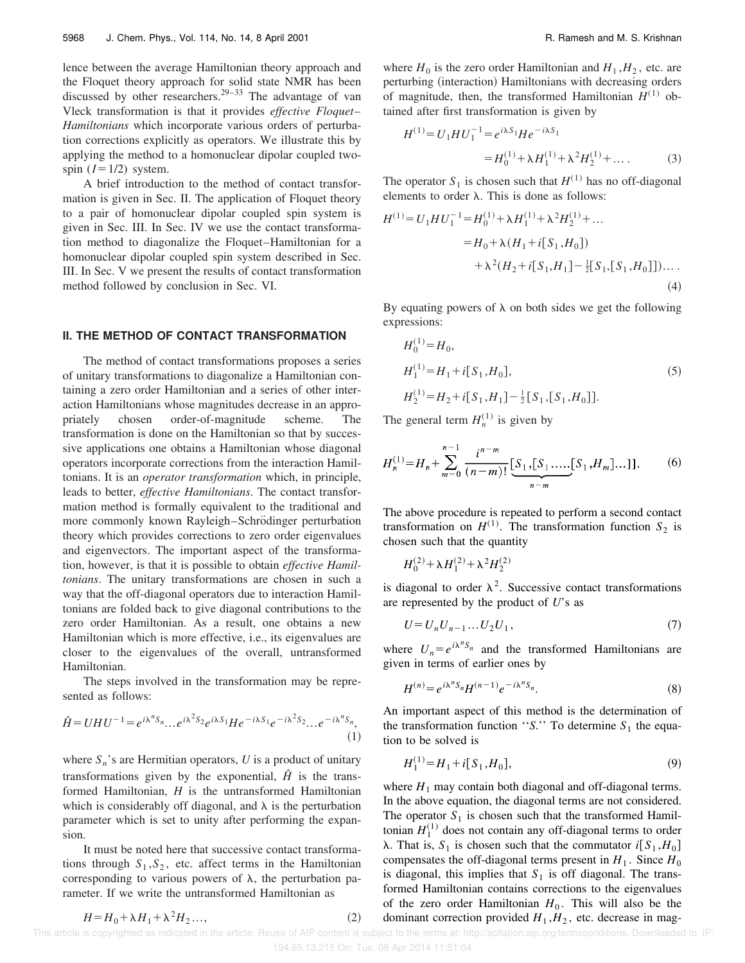lence between the average Hamiltonian theory approach and the Floquet theory approach for solid state NMR has been discussed by other researchers.<sup>29–33</sup> The advantage of van Vleck transformation is that it provides *effective Floquet*– *Hamiltonians* which incorporate various orders of perturbation corrections explicitly as operators. We illustrate this by applying the method to a homonuclear dipolar coupled twospin  $(I=1/2)$  system.

A brief introduction to the method of contact transformation is given in Sec. II. The application of Floquet theory to a pair of homonuclear dipolar coupled spin system is given in Sec. III. In Sec. IV we use the contact transformation method to diagonalize the Floquet–Hamiltonian for a homonuclear dipolar coupled spin system described in Sec. III. In Sec. V we present the results of contact transformation method followed by conclusion in Sec. VI.

#### **II. THE METHOD OF CONTACT TRANSFORMATION**

The method of contact transformations proposes a series of unitary transformations to diagonalize a Hamiltonian containing a zero order Hamiltonian and a series of other interaction Hamiltonians whose magnitudes decrease in an appropriately chosen order-of-magnitude scheme. The transformation is done on the Hamiltonian so that by successive applications one obtains a Hamiltonian whose diagonal operators incorporate corrections from the interaction Hamiltonians. It is an *operator transformation* which, in principle, leads to better, *effective Hamiltonians*. The contact transformation method is formally equivalent to the traditional and more commonly known Rayleigh–Schrödinger perturbation theory which provides corrections to zero order eigenvalues and eigenvectors. The important aspect of the transformation, however, is that it is possible to obtain *effective Hamiltonians*. The unitary transformations are chosen in such a way that the off-diagonal operators due to interaction Hamiltonians are folded back to give diagonal contributions to the zero order Hamiltonian. As a result, one obtains a new Hamiltonian which is more effective, i.e., its eigenvalues are closer to the eigenvalues of the overall, untransformed Hamiltonian.

The steps involved in the transformation may be represented as follows:

$$
\hat{H} = UHU^{-1} = e^{i\lambda^n S_n} \dots e^{i\lambda^2 S_2} e^{i\lambda S_1} He^{-i\lambda S_1} e^{-i\lambda^2 S_2} \dots e^{-i\lambda^n S_n},\tag{1}
$$

where  $S_n$ 's are Hermitian operators,  $U$  is a product of unitary transformations given by the exponential,  $\hat{H}$  is the transformed Hamiltonian, *H* is the untransformed Hamiltonian which is considerably off diagonal, and  $\lambda$  is the perturbation parameter which is set to unity after performing the expansion.

It must be noted here that successive contact transformations through  $S_1, S_2$ , etc. affect terms in the Hamiltonian corresponding to various powers of  $\lambda$ , the perturbation parameter. If we write the untransformed Hamiltonian as

where  $H_0$  is the zero order Hamiltonian and  $H_1$ ,  $H_2$ , etc. are perturbing (interaction) Hamiltonians with decreasing orders of magnitude, then, the transformed Hamiltonian  $H^{(1)}$  obtained after first transformation is given by

$$
H^{(1)} = U_1 H U_1^{-1} = e^{i\lambda S_1} H e^{-i\lambda S_1}
$$
  
=  $H_0^{(1)} + \lambda H_1^{(1)} + \lambda^2 H_2^{(1)} + \dots$  (3)

The operator  $S_1$  is chosen such that  $H^{(1)}$  has no off-diagonal elements to order  $\lambda$ . This is done as follows:

$$
H^{(1)} = U_1 H U_1^{-1} = H_0^{(1)} + \lambda H_1^{(1)} + \lambda^2 H_2^{(1)} + \dots
$$
  
=  $H_0 + \lambda (H_1 + i[S_1, H_0])$   
+  $\lambda^2 (H_2 + i[S_1, H_1] - \frac{1}{2}[S_1, [S_1, H_0]])$ .... (4)

By equating powers of  $\lambda$  on both sides we get the following expressions:

$$
H_0^{(1)} = H_0,
$$
  
\n
$$
H_1^{(1)} = H_1 + i[S_1, H_0],
$$
  
\n
$$
H_2^{(1)} = H_2 + i[S_1, H_1] - \frac{1}{2}[S_1, [S_1, H_0]].
$$
\n(5)

The general term  $H_n^{(1)}$  is given by

$$
H_n^{(1)} = H_n + \sum_{m=0}^{n-1} \frac{i^{n-m}}{(n-m)!} \underbrace{[S_1, [S_1, \dots, [S_1, H_m] \dots]]}_{n-m}.
$$
 (6)

The above procedure is repeated to perform a second contact transformation on  $H^{(1)}$ . The transformation function  $S_2$  is chosen such that the quantity

$$
H_0^{(2)} + \lambda H_1^{(2)} + \lambda^2 H_2^{(2)}
$$

is diagonal to order  $\lambda^2$ . Successive contact transformations are represented by the product of *U*'s as

$$
U = U_n U_{n-1} \dots U_2 U_1,\tag{7}
$$

where  $U_n = e^{i\lambda^n S_n}$  and the transformed Hamiltonians are given in terms of earlier ones by

$$
H^{(n)} = e^{i\lambda^n S_n} H^{(n-1)} e^{-i\lambda^n S_n}.
$$
\n(8)

An important aspect of this method is the determination of the transformation function "*S*." To determine  $S_1$  the equation to be solved is

$$
H_1^{(1)} = H_1 + i[S_1, H_0],\tag{9}
$$

where  $H_1$  may contain both diagonal and off-diagonal terms. In the above equation, the diagonal terms are not considered. The operator  $S_1$  is chosen such that the transformed Hamiltonian  $H_1^{(1)}$  does not contain any off-diagonal terms to order  $\lambda$ . That is,  $S_1$  is chosen such that the commutator  $i[S_1, H_0]$ compensates the off-diagonal terms present in  $H_1$ . Since  $H_0$ is diagonal, this implies that  $S_1$  is off diagonal. The transformed Hamiltonian contains corrections to the eigenvalues of the zero order Hamiltonian  $H_0$ . This will also be the dominant correction provided  $H_1$ ,  $H_2$ , etc. decrease in mag-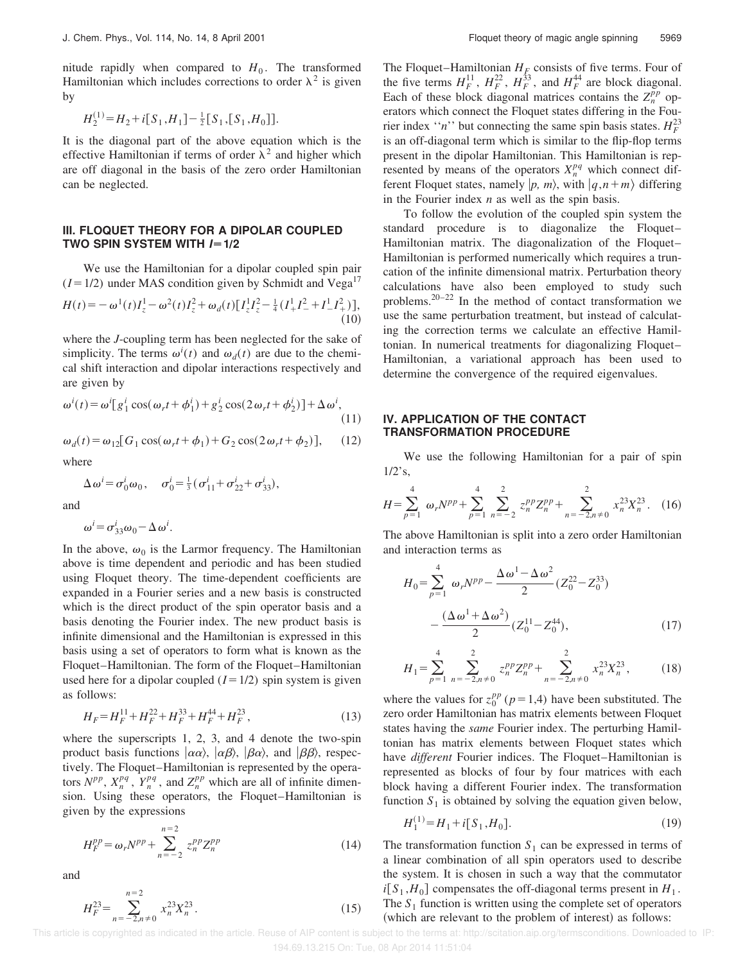nitude rapidly when compared to  $H_0$ . The transformed Hamiltonian which includes corrections to order  $\lambda^2$  is given by

 $H_2^{(1)} = H_2 + i[S_1, H_1] - \frac{1}{2}[S_1, [S_1, H_0]].$ 

It is the diagonal part of the above equation which is the effective Hamiltonian if terms of order  $\lambda^2$  and higher which are off diagonal in the basis of the zero order Hamiltonian can be neglected.

### **III. FLOQUET THEORY FOR A DIPOLAR COUPLED TWO SPIN SYSTEM WITH**  $I=1/2$

We use the Hamiltonian for a dipolar coupled spin pair  $(I=1/2)$  under MAS condition given by Schmidt and Vega<sup>17</sup>

$$
H(t) = -\omega^{1}(t)I_{z}^{1} - \omega^{2}(t)I_{z}^{2} + \omega_{d}(t)[I_{z}^{1}I_{z}^{2} - \frac{1}{4}(I_{+}^{1}I_{-}^{2} + I_{-}^{1}I_{+}^{2})],
$$
\n(10)

where the *J*-coupling term has been neglected for the sake of simplicity. The terms  $\omega^i(t)$  and  $\omega_d(t)$  are due to the chemical shift interaction and dipolar interactions respectively and are given by

$$
\omega^{i}(t) = \omega^{i}[g_1^{i}\cos(\omega_{r}t + \phi_1^{i}) + g_2^{i}\cos(2\omega_{r}t + \phi_2^{i})] + \Delta\omega^{i},
$$
\n(11)

$$
\omega_d(t) = \omega_{12} [G_1 \cos(\omega_r t + \phi_1) + G_2 \cos(2\omega_r t + \phi_2)], \quad (12)
$$

where

$$
\Delta \omega^{i} = \sigma_{0}^{i} \omega_{0}, \quad \sigma_{0}^{i} = \frac{1}{3} (\sigma_{11}^{i} + \sigma_{22}^{i} + \sigma_{33}^{i}),
$$

and

$$
\omega^i = \sigma^i_{33}\omega_0 - \Delta\,\omega^i.
$$

In the above,  $\omega_0$  is the Larmor frequency. The Hamiltonian above is time dependent and periodic and has been studied using Floquet theory. The time-dependent coefficients are expanded in a Fourier series and a new basis is constructed which is the direct product of the spin operator basis and a basis denoting the Fourier index. The new product basis is infinite dimensional and the Hamiltonian is expressed in this basis using a set of operators to form what is known as the Floquet–Hamiltonian. The form of the Floquet–Hamiltonian used here for a dipolar coupled  $(I=1/2)$  spin system is given as follows:

$$
H_F = H_F^{11} + H_F^{22} + H_F^{33} + H_F^{44} + H_F^{23},\tag{13}
$$

where the superscripts 1, 2, 3, and 4 denote the two-spin product basis functions  $|\alpha\alpha\rangle$ ,  $|\alpha\beta\rangle$ ,  $|\beta\alpha\rangle$ , and  $|\beta\beta\rangle$ , respectively. The Floquet–Hamiltonian is represented by the operators  $N^{pp}$ ,  $X_n^{pq}$ ,  $Y_n^{pq}$ , and  $Z_n^{pp}$  which are all of infinite dimension. Using these operators, the Floquet–Hamiltonian is given by the expressions

$$
H_F^{pp} = \omega_r N^{pp} + \sum_{n=-2}^{n=2} z_n^{pp} Z_n^{pp}
$$
 (14)

and

$$
H_F^{23} = \sum_{n=-2, n \neq 0}^{n=2} x_n^{23} X_n^{23} . \tag{15}
$$

The Floquet–Hamiltonian  $H_F$  consists of five terms. Four of the five terms  $H_F^{11}$ ,  $H_F^{22}$ ,  $H_F^{33}$ , and  $H_F^{44}$  are block diagonal. Each of these block diagonal matrices contains the  $Z_n^{pp}$  operators which connect the Floquet states differing in the Fourier index "*n*" but connecting the same spin basis states.  $H_F^{23}$ is an off-diagonal term which is similar to the flip-flop terms present in the dipolar Hamiltonian. This Hamiltonian is represented by means of the operators  $X_n^{pq}$  which connect different Floquet states, namely  $|p, m\rangle$ , with  $|q, n+m\rangle$  differing in the Fourier index *n* as well as the spin basis.

To follow the evolution of the coupled spin system the standard procedure is to diagonalize the Floquet– Hamiltonian matrix. The diagonalization of the Floquet– Hamiltonian is performed numerically which requires a truncation of the infinite dimensional matrix. Perturbation theory calculations have also been employed to study such problems.20–22 In the method of contact transformation we use the same perturbation treatment, but instead of calculating the correction terms we calculate an effective Hamiltonian. In numerical treatments for diagonalizing Floquet– Hamiltonian, a variational approach has been used to determine the convergence of the required eigenvalues.

## **IV. APPLICATION OF THE CONTACT TRANSFORMATION PROCEDURE**

We use the following Hamiltonian for a pair of spin  $1/2$ 's,

$$
H = \sum_{p=1}^{4} \omega_r N^{pp} + \sum_{p=1}^{4} \sum_{n=-2}^{2} z_n^{pp} Z_n^{pp} + \sum_{n=-2, n \neq 0}^{2} x_n^{23} X_n^{23}.
$$
 (16)

The above Hamiltonian is split into a zero order Hamiltonian and interaction terms as

$$
H_0 = \sum_{p=1}^4 \omega_r N^{pp} - \frac{\Delta \omega^1 - \Delta \omega^2}{2} (Z_0^{22} - Z_0^{33}) - \frac{(\Delta \omega^1 + \Delta \omega^2)}{2} (Z_0^{11} - Z_0^{44}),
$$
 (17)

$$
H_1 = \sum_{p=1}^4 \sum_{n=-2, n \neq 0}^2 z_n^{pp} Z_n^{pp} + \sum_{n=-2, n \neq 0}^2 x_n^{23} X_n^{23},
$$
 (18)

where the values for  $z_0^{pp}$  ( $p=1,4$ ) have been substituted. The zero order Hamiltonian has matrix elements between Floquet states having the *same* Fourier index. The perturbing Hamiltonian has matrix elements between Floquet states which have *different* Fourier indices. The Floquet–Hamiltonian is represented as blocks of four by four matrices with each block having a different Fourier index. The transformation function  $S_1$  is obtained by solving the equation given below,

$$
H_1^{(1)} = H_1 + i[S_1, H_0].
$$
\n(19)

The transformation function  $S_1$  can be expressed in terms of a linear combination of all spin operators used to describe the system. It is chosen in such a way that the commutator  $i[S_1, H_0]$  compensates the off-diagonal terms present in  $H_1$ . The  $S_1$  function is written using the complete set of operators (which are relevant to the problem of interest) as follows: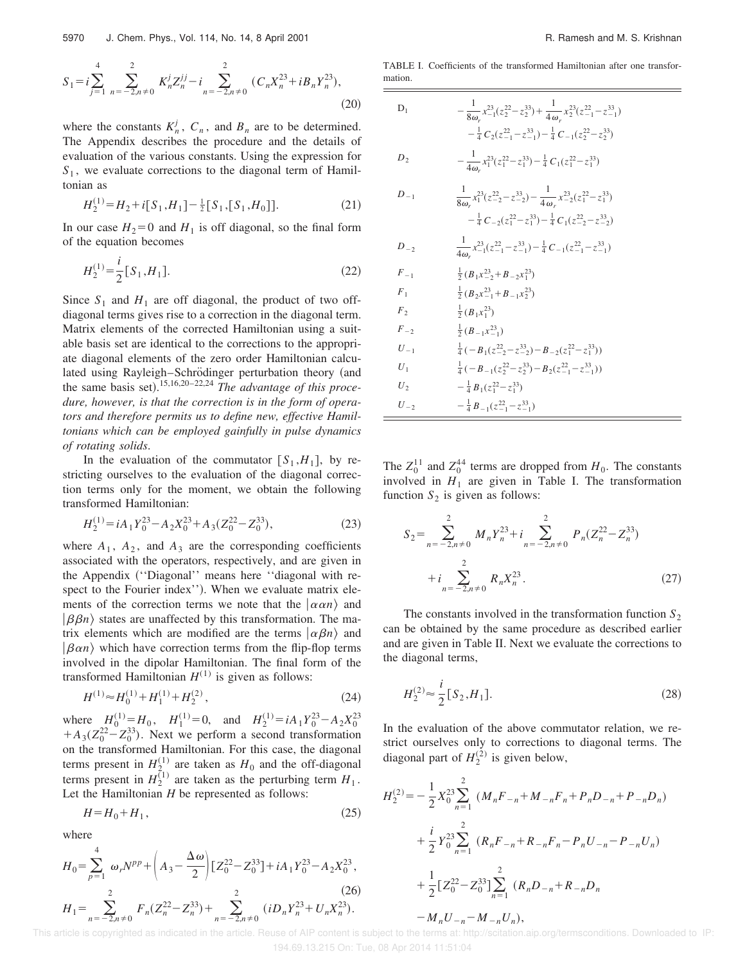$$
S_1 = i \sum_{j=1}^{4} \sum_{n=-2, n \neq 0}^{2} K_n^j Z_n^{jj} - i \sum_{n=-2, n \neq 0}^{2} (C_n X_n^{23} + i B_n Y_n^{23}),
$$
\n(20)

where the constants  $K_n^j$ ,  $C_n$ , and  $B_n$  are to be determined. The Appendix describes the procedure and the details of evaluation of the various constants. Using the expression for *S*1 , we evaluate corrections to the diagonal term of Hamiltonian as

$$
H_2^{(1)} = H_2 + i[S_1, H_1] - \frac{1}{2}[S_1, [S_1, H_0]].
$$
 (21)

In our case  $H_2=0$  and  $H_1$  is off diagonal, so the final form of the equation becomes

$$
H_2^{(1)} = \frac{i}{2} [S_1, H_1].
$$
\n(22)

Since  $S_1$  and  $H_1$  are off diagonal, the product of two offdiagonal terms gives rise to a correction in the diagonal term. Matrix elements of the corrected Hamiltonian using a suitable basis set are identical to the corrections to the appropriate diagonal elements of the zero order Hamiltonian calculated using Rayleigh–Schrödinger perturbation theory (and the same basis set).<sup>15,16,20-22,24</sup> *The advantage of this procedure, however, is that the correction is in the form of operators and therefore permits us to define new, effective Hamiltonians which can be employed gainfully in pulse dynamics of rotating solids*.

In the evaluation of the commutator  $[S_1, H_1]$ , by restricting ourselves to the evaluation of the diagonal correction terms only for the moment, we obtain the following transformed Hamiltonian:

$$
H_2^{(1)} = iA_1 Y_0^{23} - A_2 X_0^{23} + A_3 (Z_0^{22} - Z_0^{33}),
$$
\n(23)

where  $A_1$ ,  $A_2$ , and  $A_3$  are the corresponding coefficients associated with the operators, respectively, and are given in the Appendix ("Diagonal" means here "diagonal with respect to the Fourier index''). When we evaluate matrix elements of the correction terms we note that the  $|\alpha \alpha n \rangle$  and  $|\beta\beta n\rangle$  states are unaffected by this transformation. The matrix elements which are modified are the terms  $\ket{\alpha \beta n}$  and  $\beta \alpha n$  which have correction terms from the flip-flop terms involved in the dipolar Hamiltonian. The final form of the transformed Hamiltonian  $H^{(1)}$  is given as follows:

$$
H^{(1)} \approx H_0^{(1)} + H_1^{(1)} + H_2^{(2)},\tag{24}
$$

where  $H_0^{(1)} = H_0$ ,  $H_1^{(1)} = 0$ , and  $H_2^{(1)} = iA_1Y_0^{23} - A_2X_0^{23}$  $+A_3(Z_0^{22}-Z_0^{33})$ . Next we perform a second transformation on the transformed Hamiltonian. For this case, the diagonal terms present in  $H_{2}^{(1)}$  are taken as  $H_0$  and the off-diagonal terms present in  $H_2^{(1)}$  are taken as the perturbing term  $H_1$ . Let the Hamiltonian *H* be represented as follows:

$$
H = H_0 + H_1,\tag{25}
$$

where

$$
H_0 = \sum_{p=1}^4 \omega_r N^{pp} + \left( A_3 - \frac{\Delta \omega}{2} \right) \left[ Z_0^{22} - Z_0^{33} \right] + iA_1 Y_0^{23} - A_2 X_0^{23},
$$
  
\n
$$
H_1 = \sum_{n=-2, n\neq 0}^2 F_n (Z_n^{22} - Z_n^{33}) + \sum_{n=-2, n\neq 0}^2 (iD_n Y_n^{23} + U_n X_n^{23}).
$$
\n(26)

TABLE I. Coefficients of the transformed Hamiltonian after one transformation.

D<sub>1</sub> 
$$
-\frac{1}{8\omega_r} x_{-1}^{23}(z_2^{22} - z_2^{33}) + \frac{1}{4\omega_r} x_2^{23}(z_{-1}^{22} - z_{-1}^{33})
$$

$$
-\frac{1}{4}C_2(z_{-1}^{22} - z_{-1}^{33}) - \frac{1}{4}C_{-1}(z_2^{22} - z_2^{33})
$$

$$
D_2 \qquad -\frac{1}{4\omega_r} x_1^{23}(z_1^{22} - z_1^{33}) - \frac{1}{4}C_1(z_1^{22} - z_1^{33})
$$

$$
D_{-1} \qquad \frac{1}{8\omega_r} x_1^{23}(z_{-2}^{22} - z_{-2}^{33}) - \frac{1}{4\omega_r} x_{-2}^{23}(z_1^{22} - z_1^{33})
$$

$$
-\frac{1}{4}C_{-2}(z_1^{22} - z_1^{33}) - \frac{1}{4}C_{-1}(z_{-2}^{22} - z_{-2}^{33})
$$

$$
D_{-2} \qquad \frac{1}{4\omega_r} x_{-1}^{23}(z_{-1}^{22} - z_{-1}^{33}) - \frac{1}{4}C_{-1}(z_{-1}^{22} - z_{-1}^{33})
$$

$$
F_{-1} \qquad \frac{1}{2}(B_1x_{-2}^{23} + B_{-2}x_1^{23})
$$

$$
F_1 \qquad \frac{1}{2}(B_2x_{-1}^{23} + B_{-1}x_2^{23})
$$

$$
F_2 \qquad \frac{1}{2}(B_1x_1^{23})
$$

$$
F_{-2} \qquad \frac{1}{2}(B_1x_1^{23})
$$

$$
U_{-1} \qquad \frac{1}{4}(-B_1(z_{-2}^{22} - z_{-2}^{33}) - B_{-2}(z_1^{22} - z_1^{33}))
$$

$$
U_1 \qquad \frac{1}{4}(-B_{-1}(z_2^{22} - z_1^{33}) - \frac{1}{4}B_{-1}(z_{-1}^{22} - z_{-1}^{33}))
$$
<

The  $Z_0^{11}$  and  $Z_0^{44}$  terms are dropped from  $H_0$ . The constants involved in  $H_1$  are given in Table I. The transformation function  $S_2$  is given as follows:

$$
S_2 = \sum_{n=-2, n \neq 0}^{2} M_n Y_n^{23} + i \sum_{n=-2, n \neq 0}^{2} P_n (Z_n^{22} - Z_n^{33})
$$
  
+ 
$$
i \sum_{n=-2, n \neq 0}^{2} R_n X_n^{23}.
$$
 (27)

The constants involved in the transformation function  $S_2$ can be obtained by the same procedure as described earlier and are given in Table II. Next we evaluate the corrections to the diagonal terms,

$$
H_2^{(2)} \approx \frac{i}{2} [S_2, H_1].
$$
 (28)

In the evaluation of the above commutator relation, we restrict ourselves only to corrections to diagonal terms. The diagonal part of  $H_2^{(2)}$  is given below,

$$
H_2^{(2)} = -\frac{1}{2} X_0^{23} \sum_{n=1}^2 (M_n F_{-n} + M_{-n} F_n + P_n D_{-n} + P_{-n} D_n)
$$
  
+  $\frac{i}{2} Y_0^{23} \sum_{n=1}^2 (R_n F_{-n} + R_{-n} F_n - P_n U_{-n} - P_{-n} U_n)$   
+  $\frac{1}{2} [Z_0^{22} - Z_0^{33}] \sum_{n=1}^2 (R_n D_{-n} + R_{-n} D_n$   
-  $M_n U_{-n} - M_{-n} U_n),$ 

 This article is copyrighted as indicated in the article. Reuse of AIP content is subject to the terms at: http://scitation.aip.org/termsconditions. Downloaded to IP: 194.69.13.215 On: Tue, 08 Apr 2014 11:51:04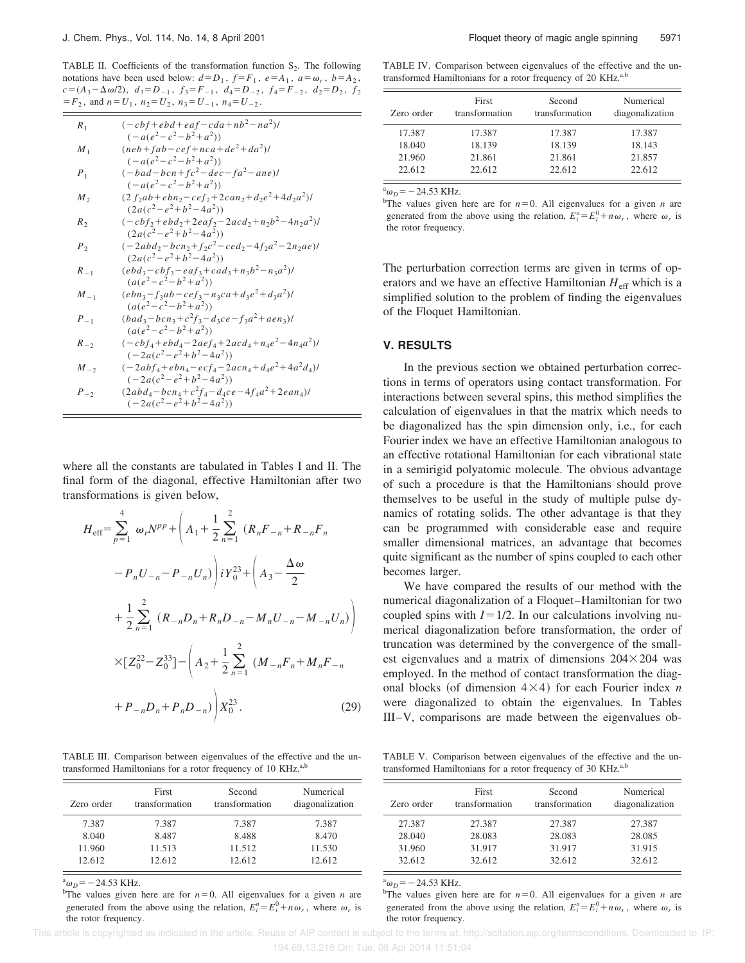TABLE II. Coefficients of the transformation function  $S_2$ . The following notations have been used below:  $d=D_1$ ,  $f=F_1$ ,  $e=A_1$ ,  $a=\omega_r$ ,  $b=A_2$ ,  $c = (A_3 - \Delta \omega/2), \ d_3 = D_{-1}, \ f_3 = F_{-1}, \ d_4 = D_{-2}, \ f_4 = F_{-2}, \ d_2 = D_2, \ f_2$  $=F_2$ , and  $n=U_1$ ,  $n_2=U_2$ ,  $n_3=U_{-1}$ ,  $n_4=U_{-2}$ .

| $\boldsymbol{R}_1$ | $(-cbf + ebd + eaf - cda + nb2 - na2)$ /          |
|--------------------|---------------------------------------------------|
|                    | $(-a(e2-c2-b2+a2))$                               |
| $M_1$              | $(neb+fab-cef+ nca + de^2 + da^2)$ /              |
|                    | $(-a(e^2-c^2-b^2+a^2))$                           |
| $\boldsymbol{P}_1$ | $(-bad-bcn+fc2-dec-fa2-ane)$                      |
|                    | $(-a(e^2-c^2-b^2+a^2))$                           |
| $M_{2}$            | $(2 f2ab + ebn2 - cef2 + 2can2 + d2e2 + 4d2a2)$ / |
|                    | $(2a(c^2-e^2+b^2-4a^2))$                          |
| $R_2$              | $(-cbf2+ebd2+2ea f2-2acd2+n2b2-4n2a2)/$           |
|                    | $(2a(c^2-e^2+b^2-4a^2))$                          |
| $P_2$              | $(-2abd_2-bcn_2+f_2c^2-ced_2-4f_2a^2-2n_2ae)$     |
|                    | $(2a(c^2-e^2+b^2-4a^2))$                          |
| $R_{-1}$           | $(ebd_3-cbf_3-eaf_3+cad_3+n_3b^2-n_3a^2)$ /       |
|                    | $(a(e^2-c^2-b^2+a^2))$                            |
| $M_{-1}$           | $(ebn_3-f_3ab-ce f_3-n_3ca+d_3e^2+d_3a^2)$        |
|                    | $(a(e^2-c^2-b^2+a^2))$                            |
| $P_{-1}$           | $(bad_3-bcn_3+c^2f_3-d_3ce-f_3a^2+aen_3)$         |
|                    | $(a(e2-c2-b2+a2))$                                |
| $R_{-2}$           | $(-cbf_4+ebd_4-2aef_4+2acd_4+n_4e^2-4n_4a^2)$ /   |
|                    | $(-2a(c^2-e^2+b^2-4a^2))$                         |
| $M_{-2}$           | $(-2abf_4+ebn_4-ecf_4-2acn_4+d_4e^2+4a^2d_4)$     |
|                    | $(-2a(c^2-e^2+b^2-4a^2))$                         |
| $P_{-2}$           | $(2abd_4-bcn_4+c^2f_4-d_4ce-4f_4a^2+2ean_4)$      |
|                    | $(-2a(c^2-e^2+b^2-4a^2))$                         |

where all the constants are tabulated in Tables I and II. The final form of the diagonal, effective Hamiltonian after two transformations is given below,

$$
H_{\text{eff}} = \sum_{p=1}^{4} \omega_{r} N^{pp} + \left( A_{1} + \frac{1}{2} \sum_{n=1}^{2} \left( R_{n} F_{-n} + R_{-n} F_{n} \right) \right)
$$

$$
- P_{n} U_{-n} - P_{-n} U_{n} \right) i Y_{0}^{23} + \left( A_{3} - \frac{\Delta \omega}{2} \right)
$$

$$
+ \frac{1}{2} \sum_{n=1}^{2} \left( R_{-n} D_{n} + R_{n} D_{-n} - M_{n} U_{-n} - M_{-n} U_{n} \right)
$$

$$
\times \left[ Z_{0}^{22} - Z_{0}^{33} \right] - \left( A_{2} + \frac{1}{2} \sum_{n=1}^{2} \left( M_{-n} F_{n} + M_{n} F_{-n} \right) \right)
$$

$$
+ P_{-n} D_{n} + P_{n} D_{-n} \right) X_{0}^{23}.
$$
(29)

TABLE III. Comparison between eigenvalues of the effective and the untransformed Hamiltonians for a rotor frequency of 10 KHz.<sup>a,b</sup>

| Zero order | First<br>transformation | Second<br>transformation | Numerical<br>diagonalization |
|------------|-------------------------|--------------------------|------------------------------|
| 7.387      | 7.387                   | 7.387                    | 7.387                        |
| 8.040      | 8.487                   | 8.488                    | 8.470                        |
| 11.960     | 11.513                  | 11.512                   | 11.530                       |
| 12.612     | 12.612                  | 12.612                   | 12.612                       |

 $\omega_D$ = - 24.53 KHz.

<sup>b</sup>The values given here are for  $n=0$ . All eigenvalues for a given *n* are generated from the above using the relation,  $E_i^n = E_i^0 + n\omega_r$ , where  $\omega_r$  is the rotor frequency.

TABLE IV. Comparison between eigenvalues of the effective and the untransformed Hamiltonians for a rotor frequency of 20 KHz.<sup>a,b</sup>

| Zero order | First<br>transformation | Second<br>transformation | Numerical<br>diagonalization |
|------------|-------------------------|--------------------------|------------------------------|
| 17.387     | 17.387                  | 17.387                   | 17.387                       |
| 18.040     | 18.139                  | 18.139                   | 18.143                       |
| 21.960     | 21.861                  | 21.861                   | 21.857                       |
| 22.612     | 22.612                  | 22.612                   | 22.612                       |

 $\omega_D$ <sup>a</sup> $\omega_D$  = -24.53 KHz.

<sup>b</sup>The values given here are for  $n=0$ . All eigenvalues for a given *n* are generated from the above using the relation,  $E_i^n = E_i^0 + n\omega_r$ , where  $\omega_r$  is the rotor frequency.

The perturbation correction terms are given in terms of operators and we have an effective Hamiltonian  $H_{\text{eff}}$  which is a simplified solution to the problem of finding the eigenvalues of the Floquet Hamiltonian.

#### **V. RESULTS**

In the previous section we obtained perturbation corrections in terms of operators using contact transformation. For interactions between several spins, this method simplifies the calculation of eigenvalues in that the matrix which needs to be diagonalized has the spin dimension only, i.e., for each Fourier index we have an effective Hamiltonian analogous to an effective rotational Hamiltonian for each vibrational state in a semirigid polyatomic molecule. The obvious advantage of such a procedure is that the Hamiltonians should prove themselves to be useful in the study of multiple pulse dynamics of rotating solids. The other advantage is that they can be programmed with considerable ease and require smaller dimensional matrices, an advantage that becomes quite significant as the number of spins coupled to each other becomes larger.

We have compared the results of our method with the numerical diagonalization of a Floquet–Hamiltonian for two coupled spins with  $I=1/2$ . In our calculations involving numerical diagonalization before transformation, the order of truncation was determined by the convergence of the smallest eigenvalues and a matrix of dimensions  $204 \times 204$  was employed. In the method of contact transformation the diagonal blocks (of dimension  $4\times4$ ) for each Fourier index *n* were diagonalized to obtain the eigenvalues. In Tables III–V, comparisons are made between the eigenvalues ob-

TABLE V. Comparison between eigenvalues of the effective and the untransformed Hamiltonians for a rotor frequency of 30 KHz.<sup>a,b</sup>

| Zero order | First<br>transformation | Second<br>transformation | Numerical<br>diagonalization |
|------------|-------------------------|--------------------------|------------------------------|
| 27.387     | 27.387                  | 27.387                   | 27.387                       |
| 28.040     | 28.083                  | 28.083                   | 28.085                       |
| 31.960     | 31.917                  | 31.917                   | 31.915                       |
| 32.612     | 32.612                  | 32.612                   | 32.612                       |

 $\omega_D$ <sup>a</sup> $\omega_D$  = -24.53 KHz.

<sup>b</sup>The values given here are for  $n=0$ . All eigenvalues for a given *n* are generated from the above using the relation,  $E_i^n = E_i^0 + n\omega_r$ , where  $\omega_r$  is the rotor frequency.

194.69.13.215 On: Tue, 08 Apr 2014 11:51:04

This article is copyrighted as indicated in the article. Reuse of AIP content is subject to the terms at: http://scitation.aip.org/termsconditions. Downloaded to IP: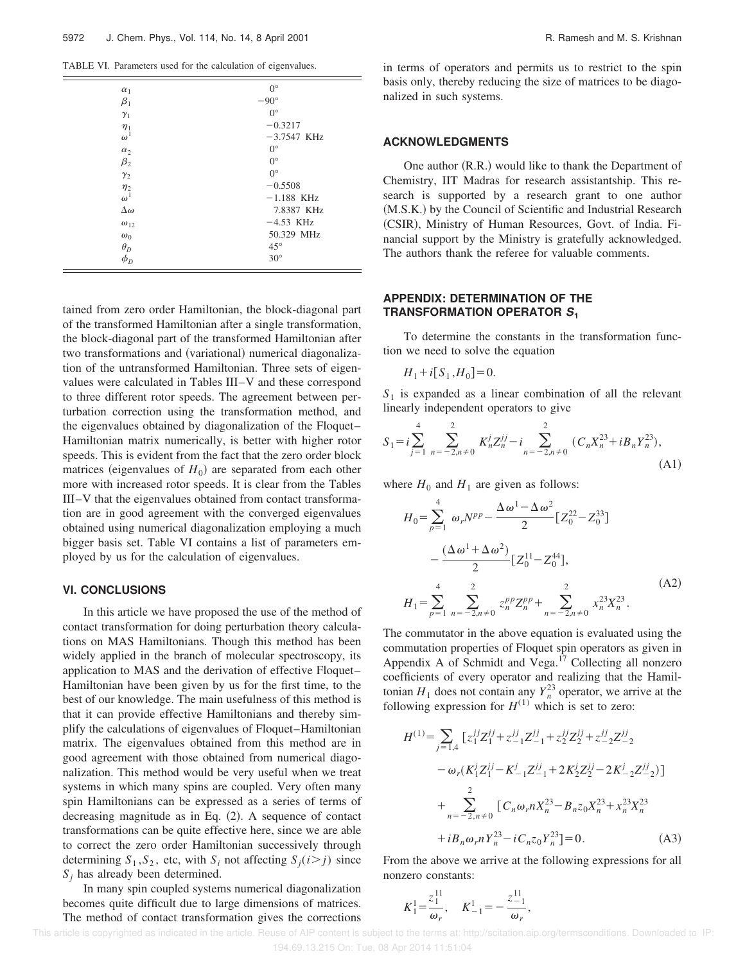TABLE VI. Parameters used for the calculation of eigenvalues.

| $\alpha_1$                | $0^{\circ}$   |
|---------------------------|---------------|
| $\beta_1$                 | $-90^\circ$   |
| $\gamma_1$                | $0^{\circ}$   |
| $\eta_1$                  | $-0.3217$     |
| $\omega^1$                | $-3.7547$ KHz |
| $\alpha_2$                | $0^{\circ}$   |
| $\beta_2$                 | $0^{\circ}$   |
| $\gamma_2$                | $0^{\circ}$   |
|                           | $-0.5508$     |
| $\frac{\eta_2}{\omega^1}$ | $-1.188$ KHz  |
| $\Delta\omega$            | 7.8387 KHz    |
| $\omega_{12}$             | $-4.53$ KHz   |
| $\omega_0$                | 50.329 MHz    |
| $\theta_D$                | $45^{\circ}$  |
| $\phi_D$                  | $30^\circ$    |
|                           |               |

tained from zero order Hamiltonian, the block-diagonal part of the transformed Hamiltonian after a single transformation, the block-diagonal part of the transformed Hamiltonian after two transformations and (variational) numerical diagonalization of the untransformed Hamiltonian. Three sets of eigenvalues were calculated in Tables III–V and these correspond to three different rotor speeds. The agreement between perturbation correction using the transformation method, and the eigenvalues obtained by diagonalization of the Floquet– Hamiltonian matrix numerically, is better with higher rotor speeds. This is evident from the fact that the zero order block matrices (eigenvalues of  $H_0$ ) are separated from each other more with increased rotor speeds. It is clear from the Tables III–V that the eigenvalues obtained from contact transformation are in good agreement with the converged eigenvalues obtained using numerical diagonalization employing a much bigger basis set. Table VI contains a list of parameters employed by us for the calculation of eigenvalues.

#### **VI. CONCLUSIONS**

In this article we have proposed the use of the method of contact transformation for doing perturbation theory calculations on MAS Hamiltonians. Though this method has been widely applied in the branch of molecular spectroscopy, its application to MAS and the derivation of effective Floquet– Hamiltonian have been given by us for the first time, to the best of our knowledge. The main usefulness of this method is that it can provide effective Hamiltonians and thereby simplify the calculations of eigenvalues of Floquet–Hamiltonian matrix. The eigenvalues obtained from this method are in good agreement with those obtained from numerical diagonalization. This method would be very useful when we treat systems in which many spins are coupled. Very often many spin Hamiltonians can be expressed as a series of terms of decreasing magnitude as in Eq.  $(2)$ . A sequence of contact transformations can be quite effective here, since we are able to correct the zero order Hamiltonian successively through determining  $S_1$ ,  $S_2$ , etc, with  $S_i$  not affecting  $S_j$  (*i*>*j*) since *S<sup>j</sup>* has already been determined.

In many spin coupled systems numerical diagonalization becomes quite difficult due to large dimensions of matrices. The method of contact transformation gives the corrections in terms of operators and permits us to restrict to the spin basis only, thereby reducing the size of matrices to be diagonalized in such systems.

#### **ACKNOWLEDGMENTS**

One author  $(R.R.)$  would like to thank the Department of Chemistry, IIT Madras for research assistantship. This research is supported by a research grant to one author (M.S.K.) by the Council of Scientific and Industrial Research (CSIR), Ministry of Human Resources, Govt. of India. Financial support by the Ministry is gratefully acknowledged. The authors thank the referee for valuable comments.

### **APPENDIX: DETERMINATION OF THE TRANSFORMATION OPERATOR <sup>S</sup><sup>1</sup>**

To determine the constants in the transformation function we need to solve the equation

$$
H_1 + i[S_1, H_0] = 0.
$$

*S*1 is expanded as a linear combination of all the relevant linearly independent operators to give

$$
S_1 = i \sum_{j=1}^{4} \sum_{n=-2, n \neq 0}^{2} K_n^j Z_n^{jj} - i \sum_{n=-2, n \neq 0}^{2} (C_n X_n^{23} + i B_n Y_n^{23}),
$$
\n(A1)

where  $H_0$  and  $H_1$  are given as follows:

$$
H_0 = \sum_{p=1}^4 \omega_r N^{pp} - \frac{\Delta \omega^1 - \Delta \omega^2}{2} \left[ Z_0^{22} - Z_0^{33} \right]
$$

$$
- \frac{(\Delta \omega^1 + \Delta \omega^2)}{2} \left[ Z_0^{11} - Z_0^{44} \right],
$$

$$
H_1 = \sum_{p=1}^4 \sum_{n=-2, n \neq 0}^2 z_n^{pp} Z_n^{pp} + \sum_{n=-2, n \neq 0}^2 x_n^{23} X_n^{23}.
$$
(A2)

The commutator in the above equation is evaluated using the commutation properties of Floquet spin operators as given in Appendix A of Schmidt and Vega. $17$  Collecting all nonzero coefficients of every operator and realizing that the Hamiltonian  $H_1$  does not contain any  $Y_n^{23}$  operator, we arrive at the following expression for  $H^{(1)}$  which is set to zero:

$$
H^{(1)} = \sum_{j=1,4} \left[ z_1^{jj} Z_1^{jj} + z_{-1}^{jj} Z_{-1}^{jj} + z_2^{jj} Z_2^{jj} + z_{-2}^{jj} Z_{-2}^{jj} \right]
$$

$$
- \omega_r (K_1^j Z_1^{jj} - K_{-1}^j Z_{-1}^{jj} + 2K_2^j Z_2^{jj} - 2K_{-2}^j Z_{-2}^{jj})
$$

$$
+ \sum_{n=-2, n\neq 0}^{2} \left[ C_n \omega_r n X_n^{23} - B_n z_0 X_n^{23} + x_n^{23} X_n^{23} \right]
$$

$$
+ i B_n \omega_r n Y_n^{23} - i C_n z_0 Y_n^{23} = 0. \tag{A3}
$$

From the above we arrive at the following expressions for all nonzero constants:

$$
K_1^1 = \frac{z_1^{11}}{\omega_r}
$$
,  $K_{-1}^1 = -\frac{z_{-1}^{11}}{\omega_r}$ ,

 This article is copyrighted as indicated in the article. Reuse of AIP content is subject to the terms at: http://scitation.aip.org/termsconditions. Downloaded to IP: 194.69.13.215 On: Tue, 08 Apr 2014 11:51:04